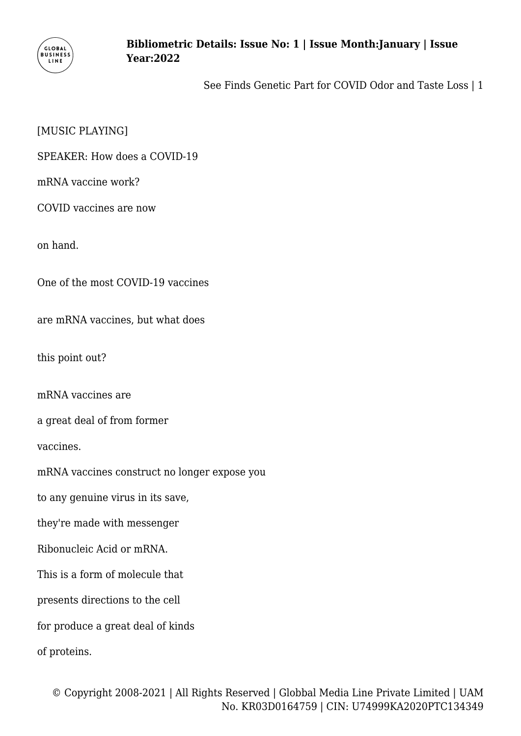

See Finds Genetic Part for COVID Odor and Taste Loss | 1

### [MUSIC PLAYING]

SPEAKER: How does a COVID-19

mRNA vaccine work?

COVID vaccines are now

on hand.

One of the most COVID-19 vaccines

are mRNA vaccines, but what does

this point out?

mRNA vaccines are

a great deal of from former

vaccines.

mRNA vaccines construct no longer expose you

to any genuine virus in its save,

they're made with messenger

Ribonucleic Acid or mRNA.

This is a form of molecule that

presents directions to the cell

for produce a great deal of kinds

of proteins.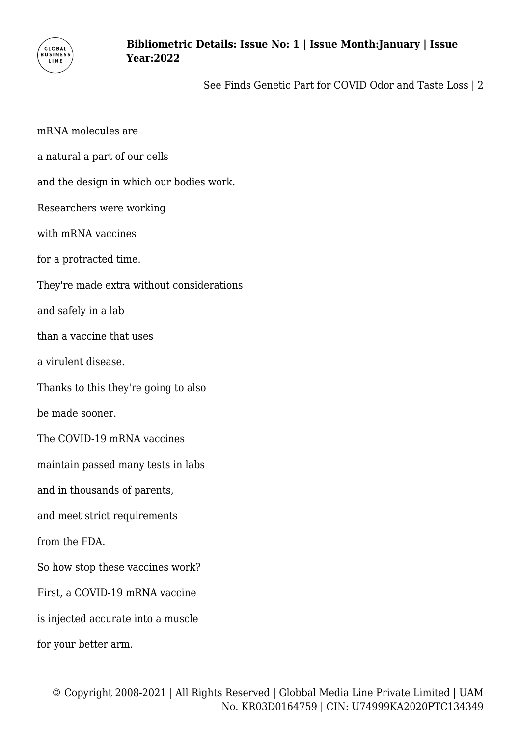

See Finds Genetic Part for COVID Odor and Taste Loss | 2

mRNA molecules are a natural a part of our cells and the design in which our bodies work. Researchers were working with mRNA vaccines for a protracted time. They're made extra without considerations and safely in a lab than a vaccine that uses a virulent disease. Thanks to this they're going to also be made sooner. The COVID-19 mRNA vaccines maintain passed many tests in labs and in thousands of parents, and meet strict requirements from the FDA. So how stop these vaccines work? First, a COVID-19 mRNA vaccine is injected accurate into a muscle for your better arm.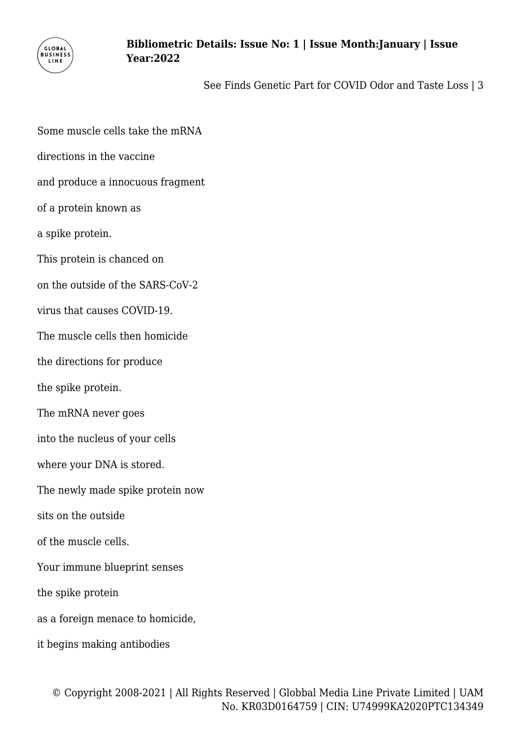

See Finds Genetic Part for COVID Odor and Taste Loss | 3

Some muscle cells take the mRNA directions in the vaccine and produce a innocuous fragment of a protein known as a spike protein. This protein is chanced on on the outside of the SARS-CoV-2 virus that causes COVID-19. The muscle cells then homicide the directions for produce the spike protein. The mRNA never goes into the nucleus of your cells where your DNA is stored. The newly made spike protein now sits on the outside of the muscle cells. Your immune blueprint senses the spike protein as a foreign menace to homicide, it begins making antibodies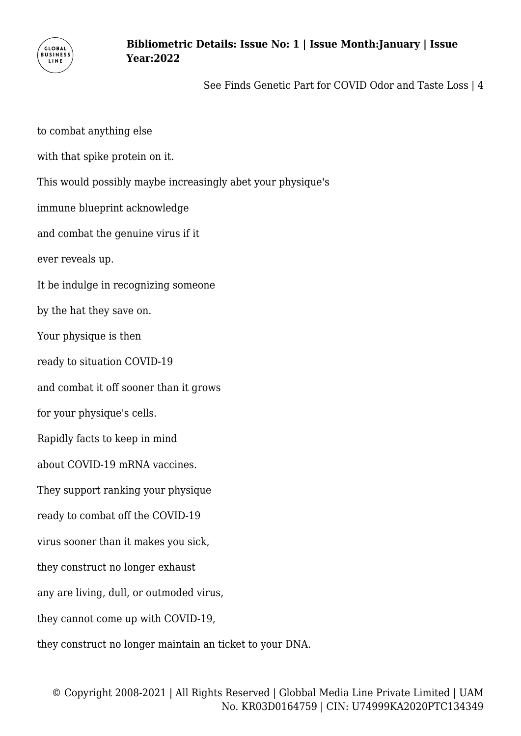

See Finds Genetic Part for COVID Odor and Taste Loss | 4

to combat anything else with that spike protein on it. This would possibly maybe increasingly abet your physique's immune blueprint acknowledge and combat the genuine virus if it ever reveals up. It be indulge in recognizing someone by the hat they save on. Your physique is then ready to situation COVID-19 and combat it off sooner than it grows for your physique's cells. Rapidly facts to keep in mind about COVID-19 mRNA vaccines. They support ranking your physique ready to combat off the COVID-19 virus sooner than it makes you sick, they construct no longer exhaust any are living, dull, or outmoded virus, they cannot come up with COVID-19, they construct no longer maintain an ticket to your DNA.